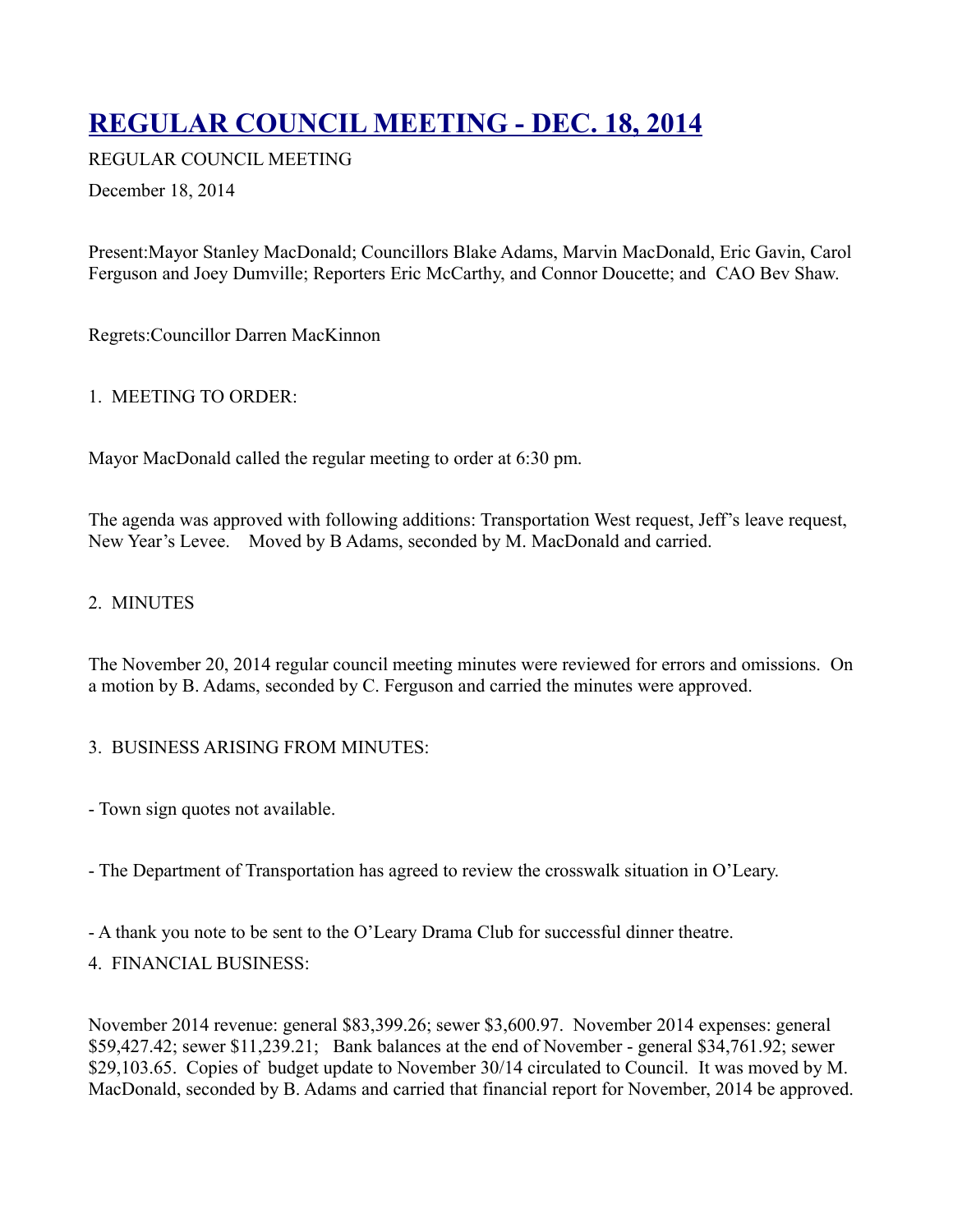# **[REGULAR COUNCIL MEETING - DEC. 18, 2014](http://townofoleary.com/index.php/council-meetings/78-regular-council-meeting-dec-18-2014)**

REGULAR COUNCIL MEETING

December 18, 2014

Present:Mayor Stanley MacDonald; Councillors Blake Adams, Marvin MacDonald, Eric Gavin, Carol Ferguson and Joey Dumville; Reporters Eric McCarthy, and Connor Doucette; and CAO Bev Shaw.

Regrets:Councillor Darren MacKinnon

# 1. MEETING TO ORDER:

Mayor MacDonald called the regular meeting to order at 6:30 pm.

The agenda was approved with following additions: Transportation West request, Jeff's leave request, New Year's Levee. Moved by B Adams, seconded by M. MacDonald and carried.

# 2. MINUTES

The November 20, 2014 regular council meeting minutes were reviewed for errors and omissions. On a motion by B. Adams, seconded by C. Ferguson and carried the minutes were approved.

## 3. BUSINESS ARISING FROM MINUTES:

- Town sign quotes not available.

- The Department of Transportation has agreed to review the crosswalk situation in O'Leary.

- A thank you note to be sent to the O'Leary Drama Club for successful dinner theatre.

4. FINANCIAL BUSINESS:

November 2014 revenue: general \$83,399.26; sewer \$3,600.97. November 2014 expenses: general \$59,427.42; sewer \$11,239.21; Bank balances at the end of November - general \$34,761.92; sewer \$29,103.65. Copies of budget update to November 30/14 circulated to Council. It was moved by M. MacDonald, seconded by B. Adams and carried that financial report for November, 2014 be approved.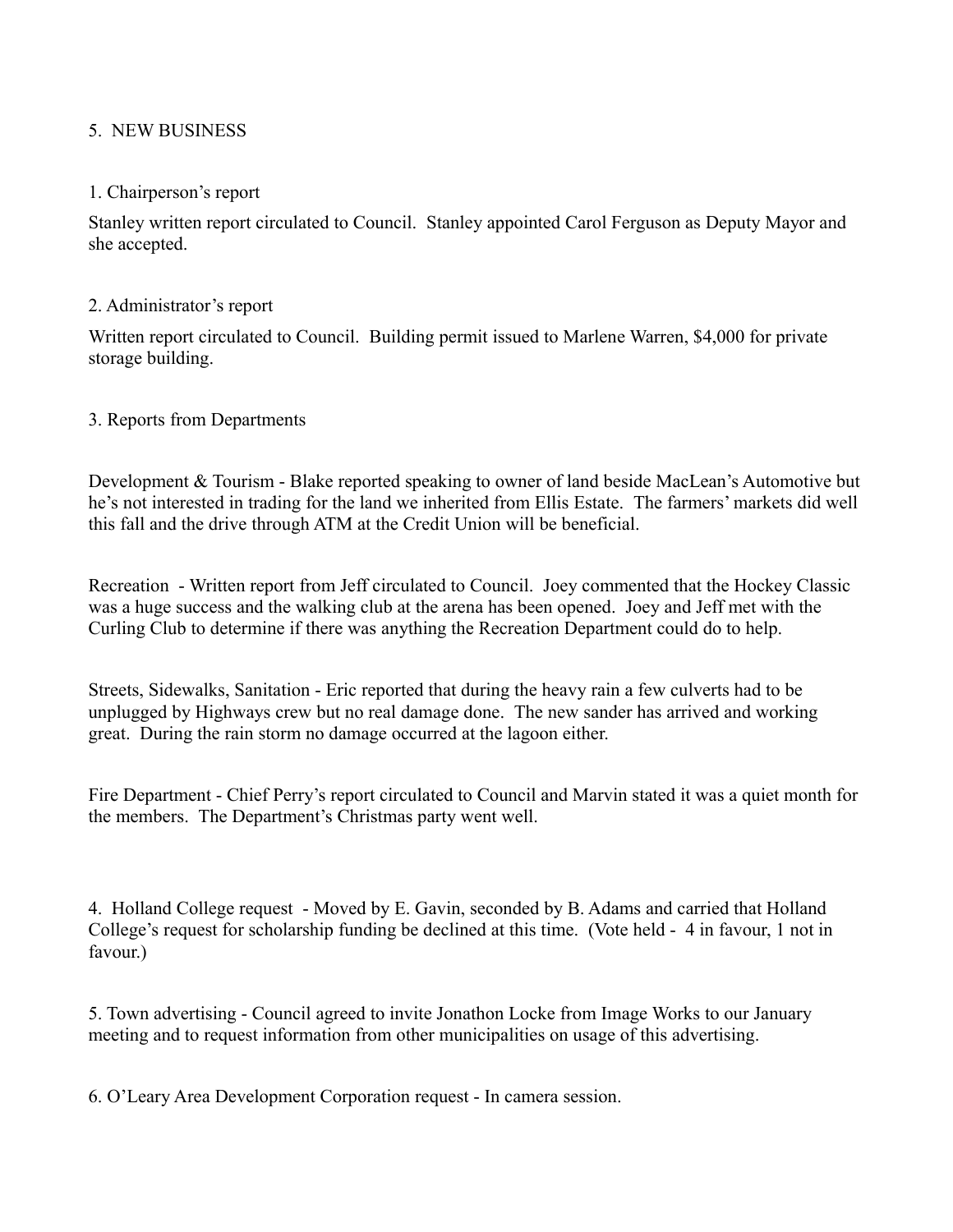## 5. NEW BUSINESS

#### 1. Chairperson's report

Stanley written report circulated to Council. Stanley appointed Carol Ferguson as Deputy Mayor and she accepted.

#### 2. Administrator's report

Written report circulated to Council. Building permit issued to Marlene Warren, \$4,000 for private storage building.

#### 3. Reports from Departments

Development & Tourism - Blake reported speaking to owner of land beside MacLean's Automotive but he's not interested in trading for the land we inherited from Ellis Estate. The farmers' markets did well this fall and the drive through ATM at the Credit Union will be beneficial.

Recreation - Written report from Jeff circulated to Council. Joey commented that the Hockey Classic was a huge success and the walking club at the arena has been opened. Joey and Jeff met with the Curling Club to determine if there was anything the Recreation Department could do to help.

Streets, Sidewalks, Sanitation - Eric reported that during the heavy rain a few culverts had to be unplugged by Highways crew but no real damage done. The new sander has arrived and working great. During the rain storm no damage occurred at the lagoon either.

Fire Department - Chief Perry's report circulated to Council and Marvin stated it was a quiet month for the members. The Department's Christmas party went well.

4. Holland College request - Moved by E. Gavin, seconded by B. Adams and carried that Holland College's request for scholarship funding be declined at this time. (Vote held - 4 in favour, 1 not in favour.)

5. Town advertising - Council agreed to invite Jonathon Locke from Image Works to our January meeting and to request information from other municipalities on usage of this advertising.

6. O'Leary Area Development Corporation request - In camera session.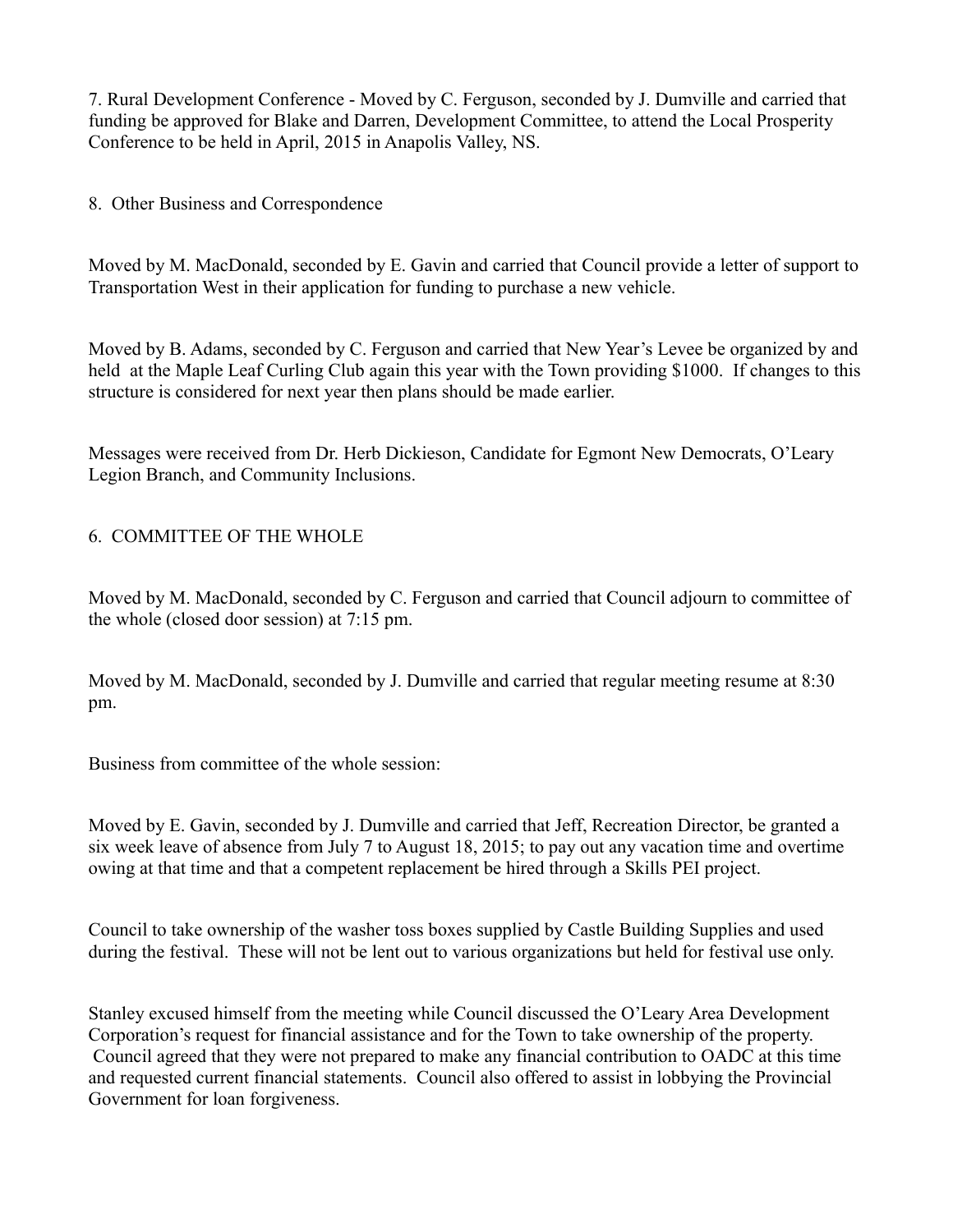7. Rural Development Conference - Moved by C. Ferguson, seconded by J. Dumville and carried that funding be approved for Blake and Darren, Development Committee, to attend the Local Prosperity Conference to be held in April, 2015 in Anapolis Valley, NS.

8. Other Business and Correspondence

Moved by M. MacDonald, seconded by E. Gavin and carried that Council provide a letter of support to Transportation West in their application for funding to purchase a new vehicle.

Moved by B. Adams, seconded by C. Ferguson and carried that New Year's Levee be organized by and held at the Maple Leaf Curling Club again this year with the Town providing \$1000. If changes to this structure is considered for next year then plans should be made earlier.

Messages were received from Dr. Herb Dickieson, Candidate for Egmont New Democrats, O'Leary Legion Branch, and Community Inclusions.

## 6. COMMITTEE OF THE WHOLE

Moved by M. MacDonald, seconded by C. Ferguson and carried that Council adjourn to committee of the whole (closed door session) at 7:15 pm.

Moved by M. MacDonald, seconded by J. Dumville and carried that regular meeting resume at 8:30 pm.

Business from committee of the whole session:

Moved by E. Gavin, seconded by J. Dumville and carried that Jeff, Recreation Director, be granted a six week leave of absence from July 7 to August 18, 2015; to pay out any vacation time and overtime owing at that time and that a competent replacement be hired through a Skills PEI project.

Council to take ownership of the washer toss boxes supplied by Castle Building Supplies and used during the festival. These will not be lent out to various organizations but held for festival use only.

Stanley excused himself from the meeting while Council discussed the O'Leary Area Development Corporation's request for financial assistance and for the Town to take ownership of the property. Council agreed that they were not prepared to make any financial contribution to OADC at this time and requested current financial statements. Council also offered to assist in lobbying the Provincial Government for loan forgiveness.